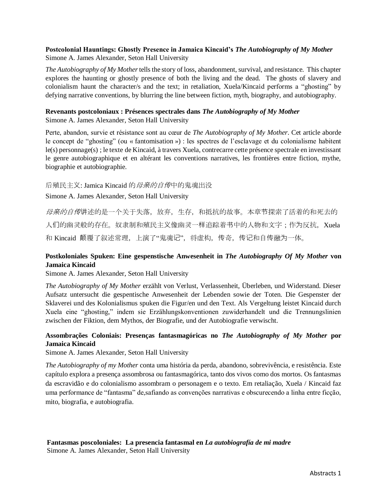### **Postcolonial Hauntings: Ghostly Presence in Jamaica Kincaid's** *The Autobiography of My Mother* Simone A. James Alexander, Seton Hall University

*The Autobiography of My Mother* tells the story of loss, abandonment, survival, and resistance. This chapter explores the haunting or ghostly presence of both the living and the dead. The ghosts of slavery and colonialism haunt the character/s and the text; in retaliation, Xuela/Kincaid performs a "ghosting" by defying narrative conventions, by blurring the line between fiction, myth, biography, and autobiography.

# **Revenants postcoloniaux : Présences spectrales dans** *The Autobiography of My Mother*

Simone A. James Alexander, Seton Hall University

Perte, abandon, survie et résistance sont au cœur de *The Autobiography of My Mother*. Cet article aborde le concept de "ghosting" (ou « fantomisation ») : les spectres de l'esclavage et du colonialisme habitent le(s) personnage(s) ; le texte de Kincaid, à travers Xuela, contrecarre cette présence spectrale en investissant le genre autobiographique et en altérant les conventions narratives, les frontières entre fiction, mythe, biographie et autobiographie.

#### 后殖民主义: Jamica Kincaid 的*母亲的自传*中的鬼魂出没

Simone A. James Alexander, Seton Hall University

母亲的自传讲述的是一个关于失落,放弃,生存,和抵抗的故事。本章节探索了活着的和死去的 人们的幽灵般的存在。奴隶制和殖民主义像幽灵一样追踪着书中的人物和文字;作为反抗,Xuela 和 Kincaid 颠覆了叙述常理, 上演了"鬼魂记", 将虚构, 传奇, 传记和自传融为一体。

## **Postkoloniales Spuken: Eine gespenstische Anwesenheit in** *The Autobiography Of My Mother* **von Jamaica Kincaid**

Simone A. James Alexander, Seton Hall University

*The Autobiography of My Mother* erzählt von Verlust, Verlassenheit, Überleben, und Widerstand. Dieser Aufsatz untersucht die gespentische Anwesenheit der Lebenden sowie der Toten. Die Gespenster der Sklaverei und des Kolonialismus spuken die Figur/en und den Text. Als Vergeltung leistet Kincaid durch Xuela eine "ghosting," indem sie Erzählungskonventionen zuwiderhandelt und die Trennungslinien zwischen der Fiktion, dem Mythos, der Biografie, und der Autobiografie verwischt.

# **Assombrações Coloniais: Presenças fantasmagóricas no** *The Autobiography of My Mother* **por Jamaica Kincaid**

Simone A. James Alexander, Seton Hall University

*The Autobiography of my Mother* conta uma história da perda, abandono, sobrevivência, e resistência. Este capítulo explora a presença assombrosa ou fantasmagórica, tanto dos vivos como dos mortos. Os fantasmas da escravidão e do colonialismo assombram o personagem e o texto. Em retaliação, Xuela / Kincaid faz uma performance de "fantasma" de,safiando as convenções narrativas e obscurecendo a linha entre ficção, mito, biografia, e autobiografia.

# **Fantasmas poscoloniales: La presencia fantasmal en** *La autobiografía de mi madre*

Simone A. James Alexander, Seton Hall University